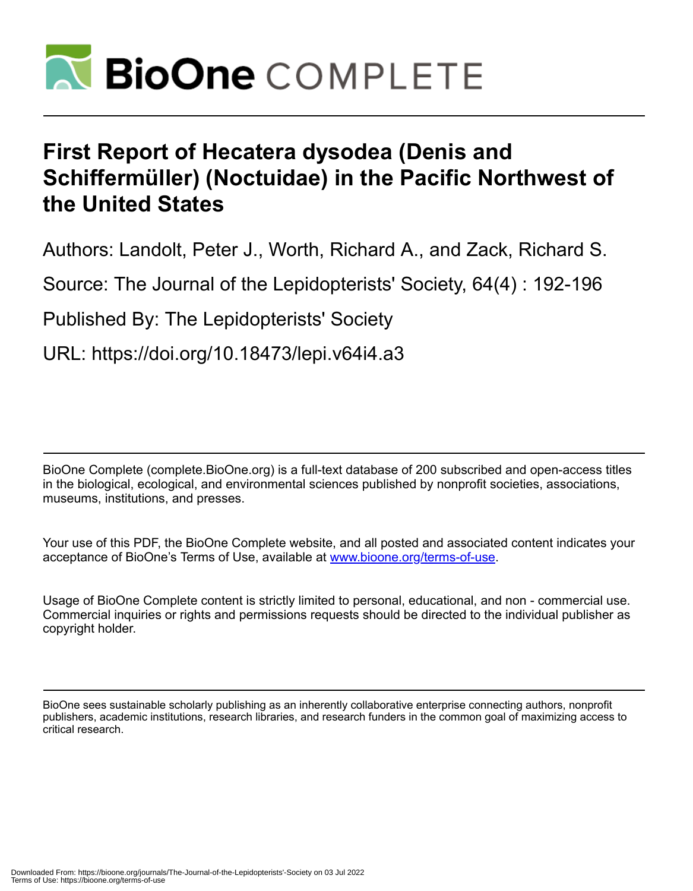

# **First Report of Hecatera dysodea (Denis and Schiffermüller) (Noctuidae) in the Pacific Northwest of the United States**

Authors: Landolt, Peter J., Worth, Richard A., and Zack, Richard S.

Source: The Journal of the Lepidopterists' Society, 64(4) : 192-196

Published By: The Lepidopterists' Society

URL: https://doi.org/10.18473/lepi.v64i4.a3

BioOne Complete (complete.BioOne.org) is a full-text database of 200 subscribed and open-access titles in the biological, ecological, and environmental sciences published by nonprofit societies, associations, museums, institutions, and presses.

Your use of this PDF, the BioOne Complete website, and all posted and associated content indicates your acceptance of BioOne's Terms of Use, available at www.bioone.org/terms-of-use.

Usage of BioOne Complete content is strictly limited to personal, educational, and non - commercial use. Commercial inquiries or rights and permissions requests should be directed to the individual publisher as copyright holder.

BioOne sees sustainable scholarly publishing as an inherently collaborative enterprise connecting authors, nonprofit publishers, academic institutions, research libraries, and research funders in the common goal of maximizing access to critical research.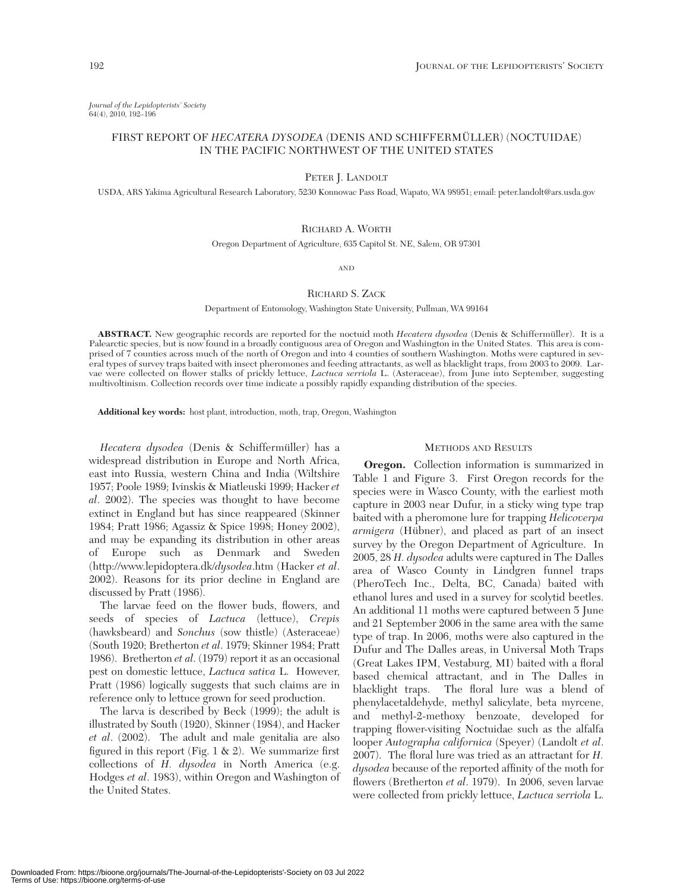*Journal of the Lepidopterists' Society* 64(4), 2010, 192–196

## FIRST REPORT OF *HECATERA DYSODEA* (DENIS AND SCHIFFERMÜLLER) (NOCTUIDAE) IN THE PACIFIC NORTHWEST OF THE UNITED STATES

PETER J. LANDOLT

USDA, ARS Yakima Agricultural Research Laboratory, 5230 Konnowac Pass Road, Wapato, WA 98951; email: peter.landolt@ars.usda.gov

### RICHARD A. WORTH

Oregon Department of Agriculture, 635 Capitol St. NE, Salem, OR 97301

AND

#### RICHARD S. ZACK

Department of Entomology, Washington State University, Pullman, WA 99164

**ABSTRACT.** New geographic records are reported for the noctuid moth *Hecatera dysodea* (Denis & Schiffermüller). It is a Palearctic species, but is now found in a broadly contiguous area of Oregon and Washington in the United States. This area is comprised of 7 counties across much of the north of Oregon and into 4 counties of southern Washington. Moths were captured in several types of survey traps baited with insect pheromones and feeding attractants, as well as blacklight traps, from 2003 to 2009. Larvae were collected on flower stalks of prickly lettuce, *Lactuca serriola* L. (Asteraceae), from June into September, suggesting multivoltinism. Collection records over time indicate a possibly rapidly expanding distribution of the species.

**Additional key words:** host plant, introduction, moth, trap, Oregon, Washington

*Hecatera dysodea* (Denis & Schiffermüller) has a widespread distribution in Europe and North Africa, east into Russia, western China and India (Wiltshire 1957; Poole 1989; Ivinskis & Miatleuski 1999; Hacker *et al*. 2002). The species was thought to have become extinct in England but has since reappeared (Skinner 1984; Pratt 1986; Agassiz & Spice 1998; Honey 2002), and may be expanding its distribution in other areas of Europe such as Denmark and Sweden (http://www.lepidoptera.dk/*dysodea*.htm (Hacker *et al*. 2002). Reasons for its prior decline in England are discussed by Pratt (1986).

The larvae feed on the flower buds, flowers, and seeds of species of *Lactuca* (lettuce), *Crepis* (hawksbeard) and *Sonchus* (sow thistle) (Asteraceae) (South 1920; Bretherton *et al*. 1979; Skinner 1984; Pratt 1986). Bretherton *et al*. (1979) report it as an occasional pest on domestic lettuce, *Lactuca sativa* L. However, Pratt (1986) logically suggests that such claims are in reference only to lettuce grown for seed production.

The larva is described by Beck (1999); the adult is illustrated by South (1920), Skinner (1984), and Hacker *et al*. (2002). The adult and male genitalia are also figured in this report (Fig. 1  $\&$  2). We summarize first collections of *H. dysodea* in North America (e.g. Hodges *et al*. 1983), within Oregon and Washington of the United States.

#### METHODS AND RESULTS

**Oregon.** Collection information is summarized in Table 1 and Figure 3. First Oregon records for the species were in Wasco County, with the earliest moth capture in 2003 near Dufur, in a sticky wing type trap baited with a pheromone lure for trapping *Helicoverpa armigera* (Hübner), and placed as part of an insect survey by the Oregon Department of Agriculture. In 2005, 28 *H. dysodea* adults were captured in The Dalles area of Wasco County in Lindgren funnel traps (PheroTech Inc., Delta, BC, Canada) baited with ethanol lures and used in a survey for scolytid beetles. An additional 11 moths were captured between 5 June and 21 September 2006 in the same area with the same type of trap. In 2006, moths were also captured in the Dufur and The Dalles areas, in Universal Moth Traps (Great Lakes IPM, Vestaburg, MI) baited with a floral based chemical attractant, and in The Dalles in blacklight traps. The floral lure was a blend of phenylacetaldehyde, methyl salicylate, beta myrcene, and methyl-2-methoxy benzoate, developed for trapping flower-visiting Noctuidae such as the alfalfa looper *Autographa californica* (Speyer) (Landolt *et al*. 2007). The floral lure was tried as an attractant for *H. dysodea* because of the reported affinity of the moth for flowers (Bretherton *et al*. 1979). In 2006, seven larvae were collected from prickly lettuce, *Lactuca serriola* L.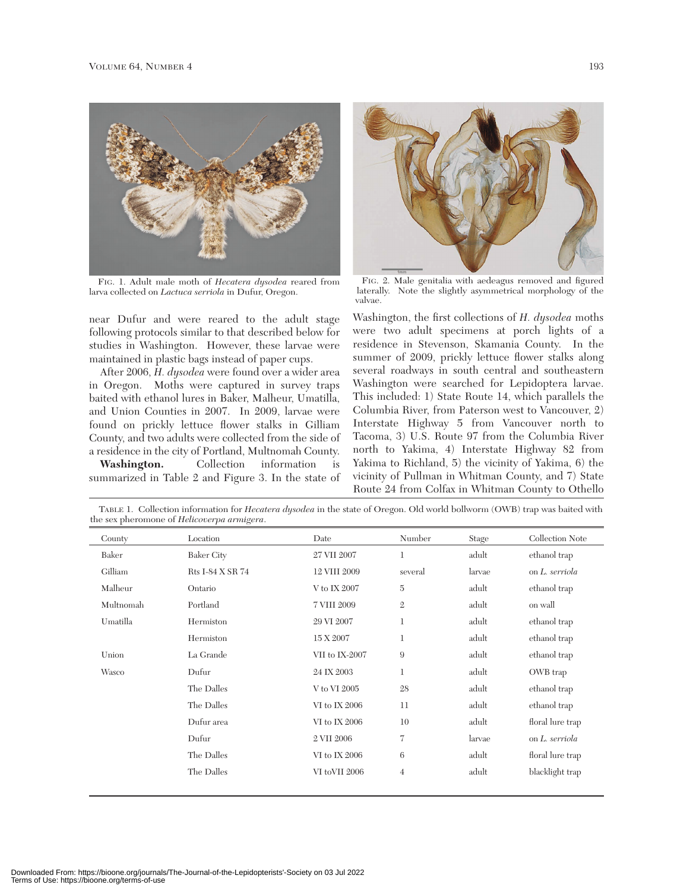

FIG. 1. Adult male moth of *Hecatera dysodea* reared from larva collected on *Lactuca serriola* in Dufur, Oregon.

near Dufur and were reared to the adult stage following protocols similar to that described below for studies in Washington. However, these larvae were maintained in plastic bags instead of paper cups.

After 2006, *H. dysodea* were found over a wider area in Oregon. Moths were captured in survey traps baited with ethanol lures in Baker, Malheur, Umatilla, and Union Counties in 2007. In 2009, larvae were found on prickly lettuce flower stalks in Gilliam County, and two adults were collected from the side of a residence in the city of Portland, Multnomah County.

**Washington.** Collection information is summarized in Table 2 and Figure 3. In the state of



FIG. 2. Male genitalia with aedeagus removed and figured laterally. Note the slightly asymmetrical morphology of the valvae.

Washington, the first collections of *H. dysodea* moths were two adult specimens at porch lights of a residence in Stevenson, Skamania County. In the summer of 2009, prickly lettuce flower stalks along several roadways in south central and southeastern Washington were searched for Lepidoptera larvae. This included: 1) State Route 14, which parallels the Columbia River, from Paterson west to Vancouver, 2) Interstate Highway 5 from Vancouver north to Tacoma, 3) U.S. Route 97 from the Columbia River north to Yakima, 4) Interstate Highway 82 from Yakima to Richland, 5) the vicinity of Yakima, 6) the vicinity of Pullman in Whitman County, and 7) State Route 24 from Colfax in Whitman County to Othello

| County    | Location          | Date           | Number         | Stage  | Collection Note  |
|-----------|-------------------|----------------|----------------|--------|------------------|
| Baker     | <b>Baker City</b> | 27 VII 2007    | $\mathbf 1$    | adult  | ethanol trap     |
| Gilliam   | Rts I-84 X SR 74  | 12 VIII 2009   | several        | larvae | on L. serriola   |
| Malheur   | Ontario           | V to IX 2007   | $\rm 5$        | adult  | ethanol trap     |
| Multnomah | Portland          | 7 VIII 2009    | $\mathfrak{2}$ | adult  | on wall          |
| Umatilla  | Hermiston         | 29 VI 2007     | $\mathbf{1}$   | adult  | ethanol trap     |
|           | Hermiston         | 15 X 2007      | $\mathbf 1$    | adult  | ethanol trap     |
| Union     | La Grande         | VII to IX-2007 | 9              | adult  | ethanol trap     |
| Wasco     | Dufur             | 24 IX 2003     | $\mathbf{1}$   | adult  | OWB trap         |
|           | The Dalles        | V to VI 2005   | 28             | adult  | ethanol trap     |
|           | The Dalles        | VI to IX 2006  | 11             | adult  | ethanol trap     |
|           | Dufur area        | VI to IX 2006  | 10             | adult  | floral lure trap |
|           | Dufur             | 2 VII 2006     | $\tau$         | larvae | on L. serriola   |
|           | The Dalles        | VI to IX 2006  | 6              | adult  | floral lure trap |
|           | The Dalles        | VI toVII 2006  | $\overline{4}$ | adult  | blacklight trap  |

TABLE 1. Collection information for *Hecatera dysodea* in the state of Oregon. Old world bollworm (OWB) trap was baited with the sex pheromone of *Helicoverpa armigera*.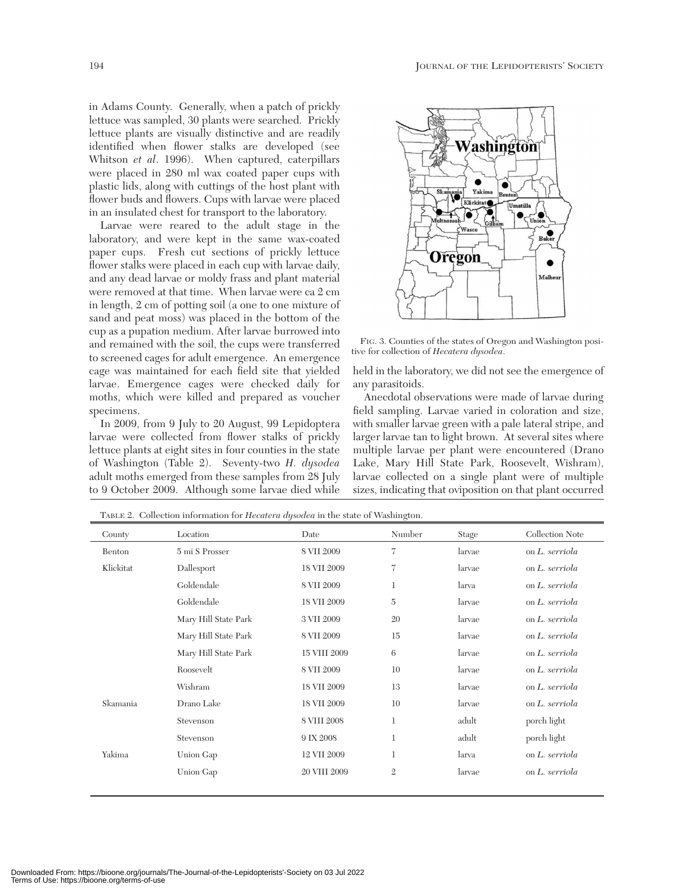in Adams County. Generally, when a patch of prickly lettuce was sampled, 30 plants were searched. Prickly lettuce plants are visually distinctive and are readily identified when flower stalks are developed (see Whitson *et al*. 1996). When captured, caterpillars were placed in 280 ml wax coated paper cups with plastic lids, along with cuttings of the host plant with flower buds and flowers. Cups with larvae were placed in an insulated chest for transport to the laboratory.

Larvae were reared to the adult stage in the laboratory, and were kept in the same wax-coated paper cups. Fresh cut sections of prickly lettuce flower stalks were placed in each cup with larvae daily, and any dead larvae or moldy frass and plant material were removed at that time. When larvae were ca 2 cm in length, 2 cm of potting soil (a one to one mixture of sand and peat moss) was placed in the bottom of the cup as a pupation medium. After larvae burrowed into and remained with the soil, the cups were transferred to screened cages for adult emergence. An emergence cage was maintained for each field site that yielded larvae. Emergence cages were checked daily for moths, which were killed and prepared as voucher specimens.

In 2009, from 9 July to 20 August, 99 Lepidoptera larvae were collected from flower stalks of prickly lettuce plants at eight sites in four counties in the state of Washington (Table 2). Seventy-two *H. dysodea* adult moths emerged from these samples from 28 July to 9 October 2009. Although some larvae died while



FIG. 3. Counties of the states of Oregon and Washington positive for collection of *Hecatera dysodea*.

held in the laboratory, we did not see the emergence of any parasitoids.

Anecdotal observations were made of larvae during field sampling. Larvae varied in coloration and size, with smaller larvae green with a pale lateral stripe, and larger larvae tan to light brown. At several sites where multiple larvae per plant were encountered (Drano Lake, Mary Hill State Park, Roosevelt, Wishram), larvae collected on a single plant were of multiple sizes, indicating that oviposition on that plant occurred

| County    | Location             | Date         | Number            | Stage  | Collection Note |
|-----------|----------------------|--------------|-------------------|--------|-----------------|
| Benton    | 5 mi S Prosser       | 8 VII 2009   | $\scriptstyle{7}$ | larvae | on L. serriola  |
| Klickitat | Dallesport           | 18 VII 2009  | $\overline{7}$    | larvae | on L. serriola  |
|           | Goldendale           | 8 VII 2009   | 1                 | larva  | on L. serriola  |
|           | Goldendale           | 18 VII 2009  | $\overline{5}$    | larvae | on L. serriola  |
|           | Mary Hill State Park | 3 VII 2009   | 20                | larvae | on L. serriola  |
|           | Mary Hill State Park | 8 VII 2009   | 15                | larvae | on L. serriola  |
|           | Mary Hill State Park | 15 VIII 2009 | 6                 | larvae | on L. serriola  |
|           | Roosevelt            | 8 VII 2009   | 10                | larvae | on L. serriola  |
|           | Wishram              | 18 VII 2009  | 13                | larvae | on L. serriola  |
| Skamania  | Drano Lake           | 18 VII 2009  | 10                | larvae | on L. serriola  |
|           | Stevenson            | 8 VIII 2008  | 1                 | adult  | porch light     |
|           | Stevenson            | 9 IX 2008    | $\mathbf 1$       | adult  | porch light     |
| Yakima    | Union Gap            | 12 VII 2009  | 1                 | larva  | on L. serriola  |
|           | Union Gap            | 20 VIII 2009 | $\mathfrak{2}$    | larvae | on L. serriola  |
|           |                      |              |                   |        |                 |

TABLE 2. Collection information for *Hecatera dysodea* in the state of Washington.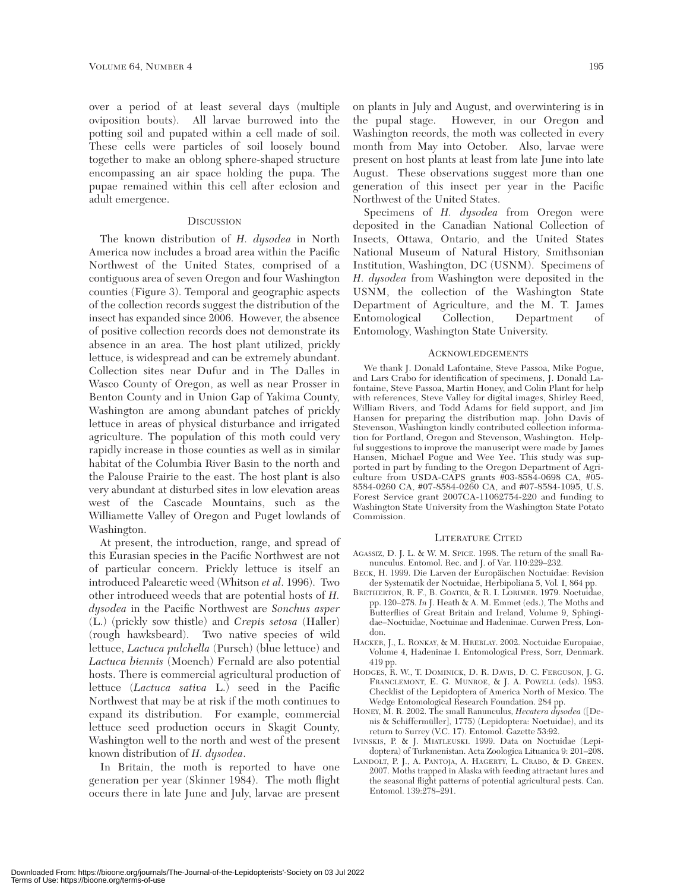over a period of at least several days (multiple oviposition bouts). All larvae burrowed into the potting soil and pupated within a cell made of soil. These cells were particles of soil loosely bound together to make an oblong sphere-shaped structure encompassing an air space holding the pupa. The pupae remained within this cell after eclosion and adult emergence.

#### **DISCUSSION**

The known distribution of *H. dysodea* in North America now includes a broad area within the Pacific Northwest of the United States, comprised of a contiguous area of seven Oregon and four Washington counties (Figure 3). Temporal and geographic aspects of the collection records suggest the distribution of the insect has expanded since 2006. However, the absence of positive collection records does not demonstrate its absence in an area. The host plant utilized, prickly lettuce, is widespread and can be extremely abundant. Collection sites near Dufur and in The Dalles in Wasco County of Oregon, as well as near Prosser in Benton County and in Union Gap of Yakima County, Washington are among abundant patches of prickly lettuce in areas of physical disturbance and irrigated agriculture. The population of this moth could very rapidly increase in those counties as well as in similar habitat of the Columbia River Basin to the north and the Palouse Prairie to the east. The host plant is also very abundant at disturbed sites in low elevation areas west of the Cascade Mountains, such as the Williamette Valley of Oregon and Puget lowlands of Washington.

At present, the introduction, range, and spread of this Eurasian species in the Pacific Northwest are not of particular concern. Prickly lettuce is itself an introduced Palearctic weed (Whitson *et al*. 1996). Two other introduced weeds that are potential hosts of *H. dysodea* in the Pacific Northwest are *Sonchus asper* (L.) (prickly sow thistle) and *Crepis setosa* (Haller) (rough hawksbeard). Two native species of wild lettuce, *Lactuca pulchella* (Pursch) (blue lettuce) and *Lactuca biennis* (Moench) Fernald are also potential hosts. There is commercial agricultural production of lettuce (*Lactuca sativa* L.) seed in the Pacific Northwest that may be at risk if the moth continues to expand its distribution. For example, commercial lettuce seed production occurs in Skagit County, Washington well to the north and west of the present known distribution of *H. dysodea*.

In Britain, the moth is reported to have one generation per year (Skinner 1984). The moth flight occurs there in late June and July, larvae are present

on plants in July and August, and overwintering is in the pupal stage. However, in our Oregon and Washington records, the moth was collected in every month from May into October. Also, larvae were present on host plants at least from late June into late August. These observations suggest more than one generation of this insect per year in the Pacific Northwest of the United States.

Specimens of *H. dysodea* from Oregon were deposited in the Canadian National Collection of Insects, Ottawa, Ontario, and the United States National Museum of Natural History, Smithsonian Institution, Washington, DC (USNM). Specimens of *H. dysodea* from Washington were deposited in the USNM, the collection of the Washington State Department of Agriculture, and the M. T. James Entomological Collection, Department of Entomology, Washington State University.

#### ACKNOWLEDGEMENTS

We thank J. Donald Lafontaine, Steve Passoa, Mike Pogue, and Lars Crabo for identification of specimens, J. Donald Lafontaine, Steve Passoa, Martin Honey, and Colin Plant for help with references, Steve Valley for digital images, Shirley Reed, William Rivers, and Todd Adams for field support, and Jim Hansen for preparing the distribution map. John Davis of Stevenson, Washington kindly contributed collection information for Portland, Oregon and Stevenson, Washington. Helpful suggestions to improve the manuscript were made by James Hansen, Michael Pogue and Wee Yee. This study was supported in part by funding to the Oregon Department of Agriculture from USDA-CAPS grants #03-8584-0698 CA, #05- 8584-0260 CA, #07-8584-0260 CA, and #07-8584-1095, U.S. Forest Service grant 2007CA-11062754-220 and funding to Washington State University from the Washington State Potato Commission.

#### LITERATURE CITED

- AGASSIZ, D. J. L. & W. M. SPICE. 1998. The return of the small Ranunculus. Entomol. Rec. and J. of Var. 110:229*–*232.
- BECK, H. 1999. Die Larven der Europäischen Noctuidae: Revision der Systematik der Noctuidae, Herbipoliana 5, Vol. I, 864 pp.
- BRETHERTON, R. F., B. GOATER, & R. I. LORIMER. 1979. Noctuidae, pp. 120*–*278. *In* J. Heath & A. M. Emmet (eds.), The Moths and Butterflies of Great Britain and Ireland, Volume 9, Sphingidae–Noctuidae, Noctuinae and Hadeninae. Curwen Press, London.
- HACKER, J., L. RONKAY, & M. HREBLAY. 2002. Noctuidae Europaiae, Volume 4, Hadeninae I. Entomological Press, Sorr, Denmark. 419 pp.
- HODGES, R. W., T. DOMINICK, D. R. DAVIS, D. C. FERGUSON, J. G. FRANCLEMONT, E. G. MUNROE, & J. A. POWELL (eds). 1983. Checklist of the Lepidoptera of America North of Mexico. The Wedge Entomological Research Foundation. 284 pp.
- HONEY, M. R. 2002. The small Ranunculus, *Hecatera dysodea* ([Denis & Schiffermüller], 1775) (Lepidoptera: Noctuidae), and its return to Surrey (V.C. 17). Entomol. Gazette 53:92.
- IVINSKIS, P. & J. MIATLEUSKI. 1999. Data on Noctuidae (Lepidoptera) of Turkmenistan. Acta Zoologica Lituanica 9: 201*–*208.
- LANDOLT, P. J., A. PANTOJA, A. HAGERTY, L. CRABO, & D. GREEN. 2007. Moths trapped in Alaska with feeding attractant lures and the seasonal flight patterns of potential agricultural pests. Can. Entomol. 139:278*–*291.